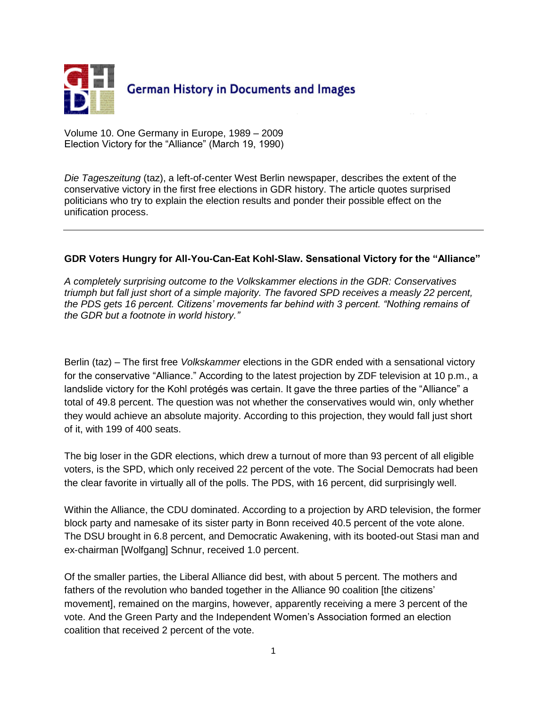

Volume 10. One Germany in Europe, 1989 – 2009 Election Victory for the "Alliance" (March 19, 1990)

*Die Tageszeitung* (taz), a left-of-center West Berlin newspaper, describes the extent of the conservative victory in the first free elections in GDR history. The article quotes surprised politicians who try to explain the election results and ponder their possible effect on the unification process.

## **GDR Voters Hungry for All-You-Can-Eat Kohl-Slaw. Sensational Victory for the "Alliance"**

*A completely surprising outcome to the Volkskammer elections in the GDR: Conservatives triumph but fall just short of a simple majority. The favored SPD receives a measly 22 percent, the PDS gets 16 percent. Citizens' movements far behind with 3 percent. "Nothing remains of the GDR but a footnote in world history."*

Berlin (taz) – The first free *Volkskammer* elections in the GDR ended with a sensational victory for the conservative "Alliance." According to the latest projection by ZDF television at 10 p.m., a landslide victory for the Kohl protégés was certain. It gave the three parties of the "Alliance" a total of 49.8 percent. The question was not whether the conservatives would win, only whether they would achieve an absolute majority. According to this projection, they would fall just short of it, with 199 of 400 seats.

The big loser in the GDR elections, which drew a turnout of more than 93 percent of all eligible voters, is the SPD, which only received 22 percent of the vote. The Social Democrats had been the clear favorite in virtually all of the polls. The PDS, with 16 percent, did surprisingly well.

Within the Alliance, the CDU dominated. According to a projection by ARD television, the former block party and namesake of its sister party in Bonn received 40.5 percent of the vote alone. The DSU brought in 6.8 percent, and Democratic Awakening, with its booted-out Stasi man and ex-chairman [Wolfgang] Schnur, received 1.0 percent.

Of the smaller parties, the Liberal Alliance did best, with about 5 percent. The mothers and fathers of the revolution who banded together in the Alliance 90 coalition [the citizens' movement], remained on the margins, however, apparently receiving a mere 3 percent of the vote. And the Green Party and the Independent Women"s Association formed an election coalition that received 2 percent of the vote.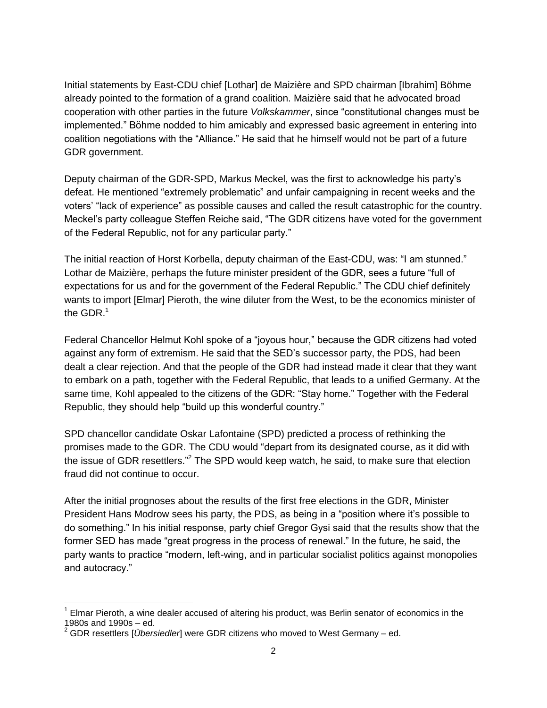Initial statements by East-CDU chief [Lothar] de Maizière and SPD chairman [Ibrahim] Böhme already pointed to the formation of a grand coalition. Maizière said that he advocated broad cooperation with other parties in the future *Volkskammer*, since "constitutional changes must be implemented." Böhme nodded to him amicably and expressed basic agreement in entering into coalition negotiations with the "Alliance." He said that he himself would not be part of a future GDR government.

Deputy chairman of the GDR-SPD, Markus Meckel, was the first to acknowledge his party"s defeat. He mentioned "extremely problematic" and unfair campaigning in recent weeks and the voters" "lack of experience" as possible causes and called the result catastrophic for the country. Meckel"s party colleague Steffen Reiche said, "The GDR citizens have voted for the government of the Federal Republic, not for any particular party."

The initial reaction of Horst Korbella, deputy chairman of the East-CDU, was: "I am stunned." Lothar de Maizière, perhaps the future minister president of the GDR, sees a future "full of expectations for us and for the government of the Federal Republic." The CDU chief definitely wants to import [Elmar] Pieroth, the wine diluter from the West, to be the economics minister of the GDR. $<sup>1</sup>$ </sup>

Federal Chancellor Helmut Kohl spoke of a "joyous hour," because the GDR citizens had voted against any form of extremism. He said that the SED"s successor party, the PDS, had been dealt a clear rejection. And that the people of the GDR had instead made it clear that they want to embark on a path, together with the Federal Republic, that leads to a unified Germany. At the same time, Kohl appealed to the citizens of the GDR: "Stay home." Together with the Federal Republic, they should help "build up this wonderful country."

SPD chancellor candidate Oskar Lafontaine (SPD) predicted a process of rethinking the promises made to the GDR. The CDU would "depart from its designated course, as it did with the issue of GDR resettlers."<sup>2</sup> The SPD would keep watch, he said, to make sure that election fraud did not continue to occur.

After the initial prognoses about the results of the first free elections in the GDR, Minister President Hans Modrow sees his party, the PDS, as being in a "position where it's possible to do something." In his initial response, party chief Gregor Gysi said that the results show that the former SED has made "great progress in the process of renewal." In the future, he said, the party wants to practice "modern, left-wing, and in particular socialist politics against monopolies and autocracy."

 $\overline{a}$ 

<sup>1</sup> Elmar Pieroth, a wine dealer accused of altering his product, was Berlin senator of economics in the 1980s and 1990s – ed.

<sup>2</sup> GDR resettlers [*Übersiedler*] were GDR citizens who moved to West Germany – ed.